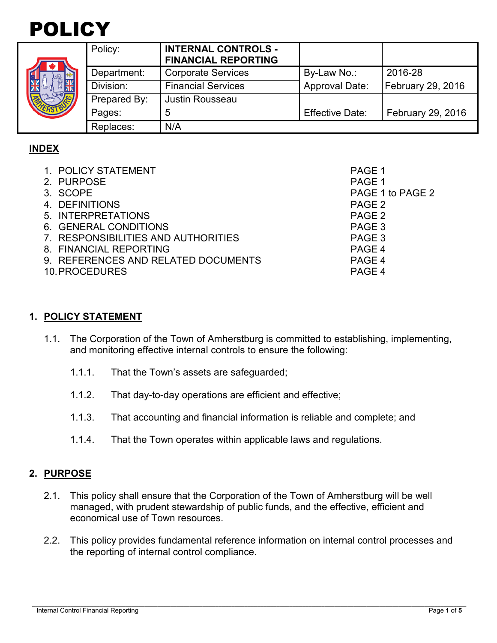



| Policy:      | <b>INTERNAL CONTROLS -</b><br><b>FINANCIAL REPORTING</b> |                        |                          |
|--------------|----------------------------------------------------------|------------------------|--------------------------|
| Department:  | <b>Corporate Services</b>                                | By-Law No.:            | 2016-28                  |
| Division:    | <b>Financial Services</b>                                | <b>Approval Date:</b>  | <b>February 29, 2016</b> |
| Prepared By: | <b>Justin Rousseau</b>                                   |                        |                          |
| Pages:       | 5                                                        | <b>Effective Date:</b> | February 29, 2016        |
| Replaces:    | N/A                                                      |                        |                          |

# **INDEX**

| 1. POLICY STATEMENT                 | PAGE 1           |
|-------------------------------------|------------------|
| 2. PURPOSE                          | PAGE 1           |
| 3. SCOPE                            | PAGE 1 to PAGE 2 |
| 4. DEFINITIONS                      | PAGE 2           |
| 5. INTERPRETATIONS                  | PAGE 2           |
| 6. GENERAL CONDITIONS               | PAGE 3           |
| 7. RESPONSIBILITIES AND AUTHORITIES | PAGE 3           |
| 8. FINANCIAL REPORTING              | PAGE 4           |
| 9. REFERENCES AND RELATED DOCUMENTS | PAGE 4           |
| 10. PROCEDURES                      | PAGE 4           |
|                                     |                  |

#### **1. POLICY STATEMENT**

- 1.1. The Corporation of the Town of Amherstburg is committed to establishing, implementing, and monitoring effective internal controls to ensure the following:
	- 1.1.1. That the Town's assets are safeguarded;
	- 1.1.2. That day-to-day operations are efficient and effective;
	- 1.1.3. That accounting and financial information is reliable and complete; and
	- 1.1.4. That the Town operates within applicable laws and regulations.

#### **2. PURPOSE**

- 2.1. This policy shall ensure that the Corporation of the Town of Amherstburg will be well managed, with prudent stewardship of public funds, and the effective, efficient and economical use of Town resources.
- 2.2. This policy provides fundamental reference information on internal control processes and the reporting of internal control compliance.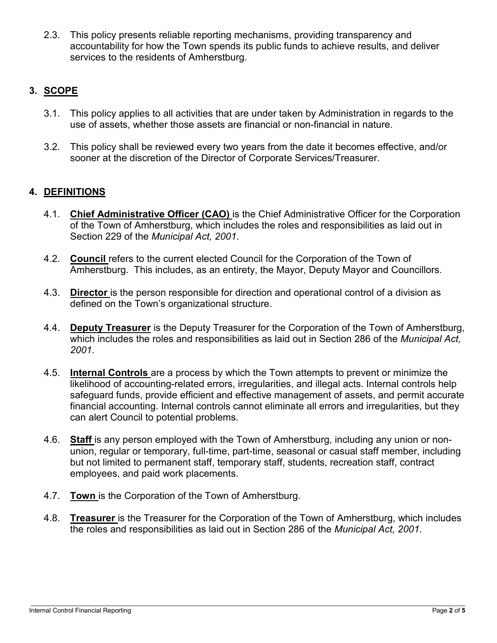2.3. This policy presents reliable reporting mechanisms, providing transparency and accountability for how the Town spends its public funds to achieve results, and deliver services to the residents of Amherstburg.

# **3. SCOPE**

- 3.1. This policy applies to all activities that are under taken by Administration in regards to the use of assets, whether those assets are financial or non-financial in nature.
- 3.2. This policy shall be reviewed every two years from the date it becomes effective, and/or sooner at the discretion of the Director of Corporate Services/Treasurer.

### **4. DEFINITIONS**

- 4.1. **Chief Administrative Officer (CAO)** is the Chief Administrative Officer for the Corporation of the Town of Amherstburg, which includes the roles and responsibilities as laid out in Section 229 of the *Municipal Act, 2001*.
- 4.2. **Council** refers to the current elected Council for the Corporation of the Town of Amherstburg. This includes, as an entirety, the Mayor, Deputy Mayor and Councillors.
- 4.3. **Director** is the person responsible for direction and operational control of a division as defined on the Town's organizational structure.
- 4.4. **Deputy Treasurer** is the Deputy Treasurer for the Corporation of the Town of Amherstburg, which includes the roles and responsibilities as laid out in Section 286 of the *Municipal Act, 2001*.
- 4.5. **Internal Controls** are a process by which the Town attempts to prevent or minimize the likelihood of accounting-related errors, irregularities, and illegal acts. Internal controls help safeguard funds, provide efficient and effective management of assets, and permit accurate financial accounting. Internal controls cannot eliminate all errors and irregularities, but they can alert Council to potential problems.
- 4.6. **Staff** is any person employed with the Town of Amherstburg, including any union or nonunion, regular or temporary, full-time, part-time, seasonal or casual staff member, including but not limited to permanent staff, temporary staff, students, recreation staff, contract employees, and paid work placements.
- 4.7. **Town** is the Corporation of the Town of Amherstburg.
- 4.8. **Treasurer** is the Treasurer for the Corporation of the Town of Amherstburg, which includes the roles and responsibilities as laid out in Section 286 of the *Municipal Act, 2001*.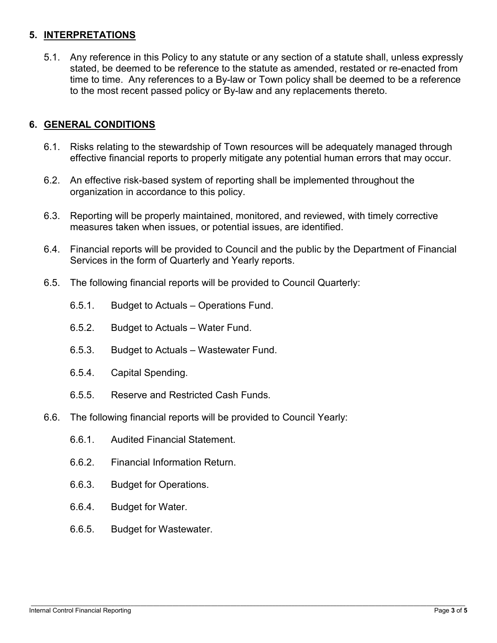### **5. INTERPRETATIONS**

5.1. Any reference in this Policy to any statute or any section of a statute shall, unless expressly stated, be deemed to be reference to the statute as amended, restated or re-enacted from time to time. Any references to a By-law or Town policy shall be deemed to be a reference to the most recent passed policy or By-law and any replacements thereto.

# **6. GENERAL CONDITIONS**

- 6.1. Risks relating to the stewardship of Town resources will be adequately managed through effective financial reports to properly mitigate any potential human errors that may occur.
- 6.2. An effective risk-based system of reporting shall be implemented throughout the organization in accordance to this policy.
- 6.3. Reporting will be properly maintained, monitored, and reviewed, with timely corrective measures taken when issues, or potential issues, are identified.
- 6.4. Financial reports will be provided to Council and the public by the Department of Financial Services in the form of Quarterly and Yearly reports.
- 6.5. The following financial reports will be provided to Council Quarterly:
	- 6.5.1. Budget to Actuals Operations Fund.
	- 6.5.2. Budget to Actuals Water Fund.
	- 6.5.3. Budget to Actuals Wastewater Fund.
	- 6.5.4. Capital Spending.
	- 6.5.5. Reserve and Restricted Cash Funds.
- 6.6. The following financial reports will be provided to Council Yearly:
	- 6.6.1. Audited Financial Statement.
	- 6.6.2. Financial Information Return.
	- 6.6.3. Budget for Operations.
	- 6.6.4. Budget for Water.
	- 6.6.5. Budget for Wastewater.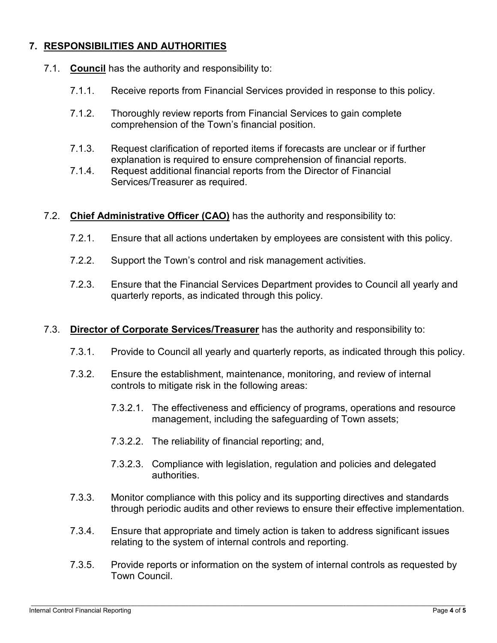# **7. RESPONSIBILITIES AND AUTHORITIES**

- 7.1. **Council** has the authority and responsibility to:
	- 7.1.1. Receive reports from Financial Services provided in response to this policy.
	- 7.1.2. Thoroughly review reports from Financial Services to gain complete comprehension of the Town's financial position.
	- 7.1.3. Request clarification of reported items if forecasts are unclear or if further explanation is required to ensure comprehension of financial reports.
	- 7.1.4. Request additional financial reports from the Director of Financial Services/Treasurer as required.
- 7.2. **Chief Administrative Officer (CAO)** has the authority and responsibility to:
	- 7.2.1. Ensure that all actions undertaken by employees are consistent with this policy.
	- 7.2.2. Support the Town's control and risk management activities.
	- 7.2.3. Ensure that the Financial Services Department provides to Council all yearly and quarterly reports, as indicated through this policy.
- 7.3. **Director of Corporate Services/Treasurer** has the authority and responsibility to:
	- 7.3.1. Provide to Council all yearly and quarterly reports, as indicated through this policy.
	- 7.3.2. Ensure the establishment, maintenance, monitoring, and review of internal controls to mitigate risk in the following areas:
		- 7.3.2.1. The effectiveness and efficiency of programs, operations and resource management, including the safeguarding of Town assets;
		- 7.3.2.2. The reliability of financial reporting; and,
		- 7.3.2.3. Compliance with legislation, regulation and policies and delegated authorities.
	- 7.3.3. Monitor compliance with this policy and its supporting directives and standards through periodic audits and other reviews to ensure their effective implementation.
	- 7.3.4. Ensure that appropriate and timely action is taken to address significant issues relating to the system of internal controls and reporting.
	- 7.3.5. Provide reports or information on the system of internal controls as requested by Town Council.